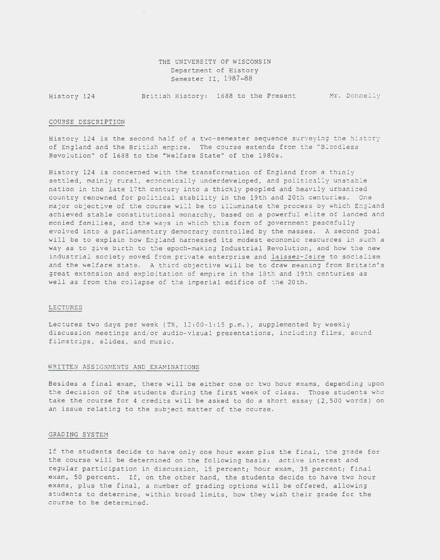THE UNIVERSITY OF WISCONSIN Department of History Semester II, 1987-88

History 124 British History: 1688 to the Present Mr. Donnelly

## COURSE DESCRIPTION

History 124 is the second half of a two-semester sequence surveying the history of England and the British empire. The course extends from the "Bloodless Revolution" of 1688 to the "Welfare State" of the 1980s.

History 124 is concerned with the transformation of England from a thinly settled, mainly rural, economically underdeveloped, and politically unstable nation in the late 17th century into a thickly peopled and heavily urbanized country renowned for political stability in the 19th and 20th centuries. One major objective of the course will be to illuminate the process by which England achieved stable constitutional monarchy, based on a powerful elite of landed and monied families, and the ways in which this form of government peacefully evolved into a parliamentary democracy controlled by the masses. A second goal will be to explain how England harnessed its modest economic resources in such a way as to give birth to the epoch-making Industrial Revolution, and how the new industrial society moved from private enterprise and laissez-faire to socialism and the welfare state. A third objective will be to draw meaning from Britain's great extension and exploitation of empire in the 18th and 19th centuries as well as from the collapse of the imperial edifice of the 20th.

## LECTURES

Lectures two days per week (TR, 12:00-1:15 p.m.), supplemented by weekly discussion meetings and/or audio-visual presentations, including films, sound filmstrips, slides, and music.

## WRITTEN ASSIGNMENTS AND EXAMINATIONS

Besides a final exam, there will be either one or two hour exams, depending upon the decision of the students during the first week of class. Those students who take the course for 4 credits will be asked to do a short essay (2,500 words) on an issue relating to the subject matter of the course.

### GRADING SYSTEM

If the students *decide* to have only one hour exam plus the final, the grade for the course will be determined on the following basis: active interest and regular participation in discussion, 15 percent; hour exam, 35 percent; final exam, 50 percent. If, on the other hand, the students decide to have two hour exams, plus the final, a number of grading options will be offered, allowing students to determine, within broad limits, how they wish their grade for the course to be determined.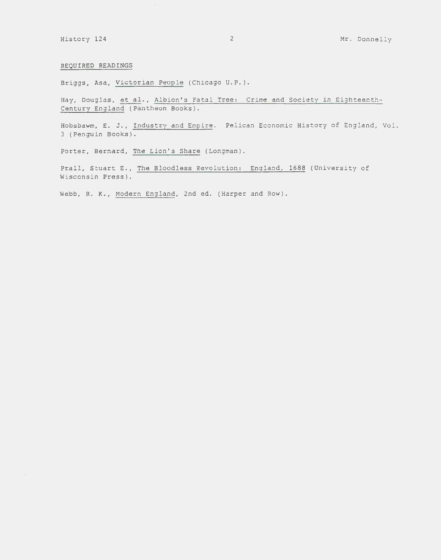# REQUIRED READINGS

Briggs, Asa, Victorian People (Chicago U.P. ).

 $\hat{\mathcal{A}}$ 

Hay, Douglas, et al., Albion's Fatal Tree: Crime and Society in Eighteenth-Century England (Pantheon Books).

Hobsbawm, E. J., Industry and Empire. Pelican Economic History of England, Vol. 3 (Penguin Books).

Porter, Bernard, The Lion's Share (Longman).

Prall, Stuart E., The Bloodless Revolution: England, 1688 (University of Wisconsin Press).

Webb, R. K., Modern England, 2nd ed. (Harper and Row ) .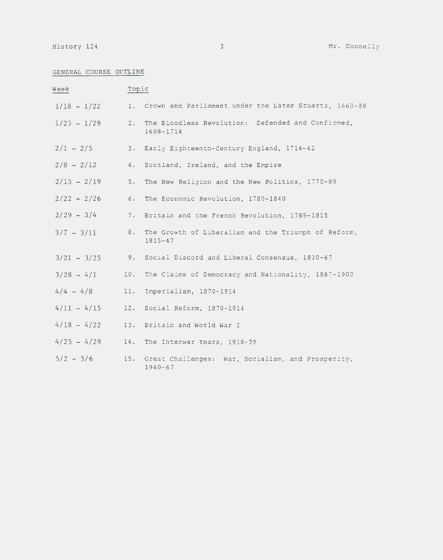# GENERAL COURSE OUTLINE

| Week             | Topic |                                                                                  |
|------------------|-------|----------------------------------------------------------------------------------|
|                  |       | $1/18$ - $1/22$ 1. Crown and Parliament under the Later Stuarts, 1660-38         |
| $1/25 - 1/29$    |       | 2. The Bloodless Revolution: Defended and Confirmed,<br>1688-1714                |
|                  |       | $2/1 - 2/5$ 3. Early Eighteenth-Century England, 1714-42                         |
|                  |       | $2/8$ - $2/12$ 4. Scotland, Ireland, and the Empire                              |
| $2/15 - 2/19$ 5. |       | The New Religion and the New Politics, 1770-89                                   |
|                  |       | $2/22 - 2/26$ 6. The Economic Revolution, 1780-1840                              |
| $2/29 - 3/4$     |       | 7. Britain and the French Revolution, 1789-1815                                  |
|                  |       | 3/7 - 3/11 8. The Growth of Liberalism and the Triumph of Reform,<br>$1815 - 47$ |
|                  |       | $3/21 - 3/25$ 9. Social Discord and Liberal Consensus, 1830-67                   |
|                  |       | $3/28 - 4/1$ 10. The Claims of Democracy and Nationality, 1867-1900              |
| $4/4 - 4/8$      |       | 11. Imperialism, 1870-1914                                                       |
|                  |       | $4/11 - 4/15$ 12. Social Reform, 1870-1914                                       |
|                  |       | $4/18 - 4/22$ 13. Britain and World War I                                        |
|                  |       | $4/25 - 4/29$ 14. The Interwar Years, 1918-39                                    |
| $5/2 - 5/6$      |       | 15. Great Challenges: War, Socialism, and Prosperity,<br>$1940 - 67$             |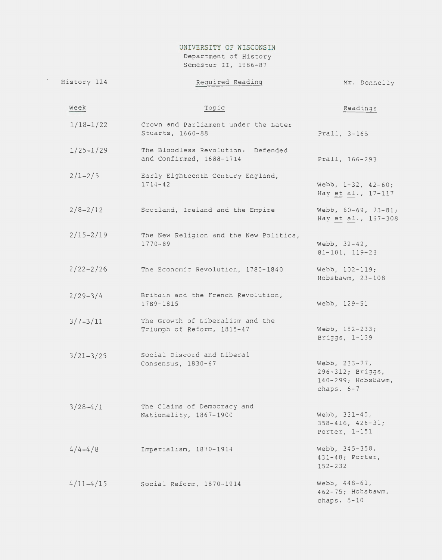# UNIVERSITY OF WISCONSIN Department of History

Semester II, 1986-87

 $\langle \sigma_{\rm{eff}} \rangle$ 

| History 124   | Required Reading                                               | Mr. Donnelly                                                            |
|---------------|----------------------------------------------------------------|-------------------------------------------------------------------------|
| Week          | Topic                                                          | Readings                                                                |
| $1/18 - 1/22$ | Crown and Parliament under the Later<br>Stuarts, 1660-88       | Prall, 3-165                                                            |
| $1/25 - 1/29$ | The Bloodless Revolution: Defended<br>and Confirmed, 1688-1714 | Prall, 166-293                                                          |
| $2/1 - 2/5$   | Early Eighteenth-Century England,<br>$1714 - 42$               | Webb, $1-32$ , $42-60$ ;<br>Hay et al., 17-117                          |
| $2/8 - 2/12$  | Scotland, Ireland and the Empire                               | Webb, 60-69, 73-81;<br>Hay et al., 167-308                              |
| $2/15 - 2/19$ | The New Religion and the New Politics,<br>$1770 - 89$          | Webb, 32-42,<br>81-101, 119-28                                          |
| $2/22 - 2/26$ | The Economic Revolution, 1780-1840                             | Webb, 102-119;<br>Hobsbawm, 23-108                                      |
| $2/29 - 3/4$  | Britain and the French Revolution,<br>1789-1815                | Webb, 129-51                                                            |
| $3/7 - 3/11$  | The Growth of Liberalism and the<br>Triumph of Reform, 1815-47 | Webb, 152-233;<br>Briggs, 1-139                                         |
| $3/21 - 3/25$ | Social Discord and Liberal<br>Consensus, 1830-67               | Webb, 233-77,<br>296-312; Briggs,<br>140-299; Hobsbawm,<br>chaps. $6-7$ |
| $3/28 - 4/1$  | The Claims of Democracy and<br>Nationality, 1867-1900          | Webb, 331-45,<br>$358 - 416$ , $426 - 31$ ;<br>Porter, 1-151            |
| $4/4 - 4/8$   | Imperialism, 1870-1914                                         | Webb, 345-358,<br>431-48; Porter,<br>$152 - 232$                        |
| $4/11 - 4/15$ | Social Reform, 1870-1914                                       | Webb, 448-61,<br>462-75; Hobsbawm,<br>chaps. 8-10                       |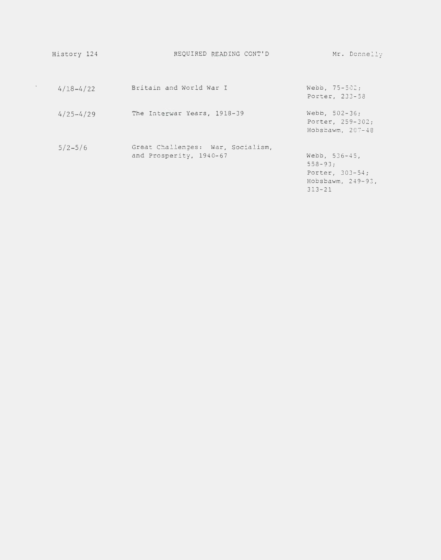| History 124   | REQUIRED READING CONT'D                                      | Mr. Donnelly                                                                            |
|---------------|--------------------------------------------------------------|-----------------------------------------------------------------------------------------|
| $4/18 - 4/22$ | Britain and World War I                                      | Webb, $75 - 502$ ;<br>Porter, 233-58                                                    |
| $4/25 - 4/29$ | The Interwar Years, 1918-39                                  | Webb, 502-36;<br>Porter, 259-302;<br>Hobsbawm. $207-48$                                 |
| $5/2 - 5/6$   | Great Challenges: War, Socialism,<br>and Prosperity, 1940-67 | Webb, $536 - 45$ ,<br>$558 - 93:$<br>Porter, 303-54;<br>Hobsbawm, 249-93,<br>$313 - 21$ |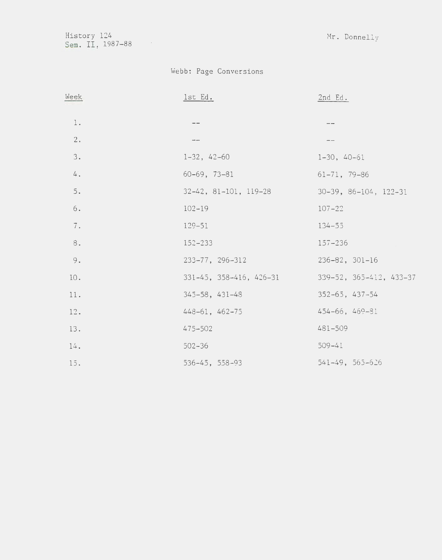History 124 Mr. Donnelly Sem. II, 1987-88

# Webb: Page Conversions

| Week | <u>lst</u> Ed.                  | $2nd$ Ed.                     |
|------|---------------------------------|-------------------------------|
| $1.$ | $\qquad \qquad -$               | $- -$                         |
| 2.   | $\frac{1}{2}$                   |                               |
| 3.   | $1-32, 42-60$                   | $1-30, 40-61$                 |
| 4.   | $60-69, 73-81$                  | $61-71, 79-86$                |
| $5.$ | $32-42$ , $81-101$ , $119-28$   | $30-39$ , $86-104$ , $122-31$ |
| $6.$ | $102 - 19$                      | $107 - 22$                    |
| 7.   | $129 - 51$                      | $134 - 55$                    |
| 8.   | $152 - 233$                     | $157 - 236$                   |
| 9.   | $233 - 77, 296 - 312$           | $236 - 82$ , $301 - 16$       |
| 10.  | $331-45$ , $358-416$ , $426-31$ | 339-52, 365-412, 433-37       |
| 11.  | $345 - 58$ , $431 - 48$         | $352 - 65, 437 - 54$          |
| 12.  | 448-61, 462-75                  | $454 - 66$ , $469 - 81$       |
| 13.  | $475 - 502$                     | 481-509                       |
| 14.  | $502 - 36$                      | $509 - 41$                    |
| 15.  | 536-45, 558-93                  | $541 - 49, 565 - 626$         |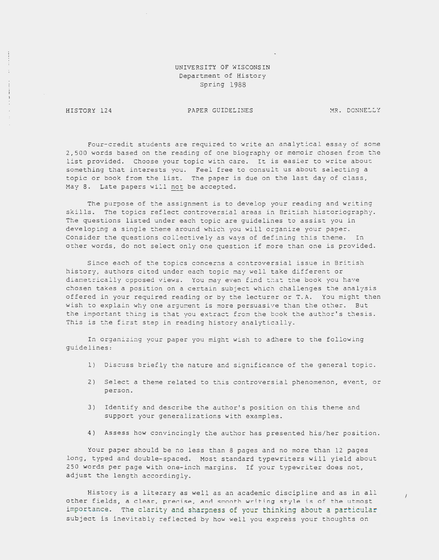# UNIVERSITY OF WISCONSIN Department of History Spring 1988

HISTORY 124

### PAPER GUIDELINES MR. DONNELLY

 $\overline{1}$ 

Four-credit students are required to write an analytical essay of some 2,500 words based on the reading of one biography or memoir chosen from the list provided. Choose your topic with care. It is easier to write about something that interests you. Feel free to consult us about selecting a topic or book from the list. The paper *is* due on the last day of class, May 8. Late papers will not be accepted.

The purpose of the assignment is to develop your reading and writing skills. The topics reflect controversial areas in British historiography. The questions listed under each topic are guidelines to assist you in developing a single theme around which you will organize your paper. Consider the questions collectively as ways of defining this theme. In other words, do not select only one question if more than one *is* provided.

Since each of the topics concerns a controversial issue in British history, authors cited under each topic may well take different or diametrically opposed views. You may even find that the book you have chosen takes a position on a certain subject which challenges the analysis offered in your required reading or by the lecturer or T.A. You might then wish to explain why one argument is more persuasive than the other. But the important thing is that you extract from the book the author's thesis. This is the first step in reading history analytically.

In organizing your paper you might wish to adhere to the following guidelines:

- 1) Discuss briefly the nature and significance of the general topic.
- 2) Select a theme related to this controversial phenomenon, event, or person.
- 3) Identify and describe the author's position on this theme and support your generalizations with examples.
- 4) Assess how convincingly the author has presented his/her position.

Your paper should be no less than 8 pages and no more than 12 pages long, typed and double-spaced. Most standard typewriters will yield about 250 words per page with one-inch margins. If your typewriter does not, adjust the length accordingly.

History *is* a literary as well as an academic discipline and as *in* all other fields, a clear, precise, and smooth writing style *is* of the utmost importance. The clarity and sharpness of your thinking about a particular subject is inevitably reflected by how well you express your thoughts on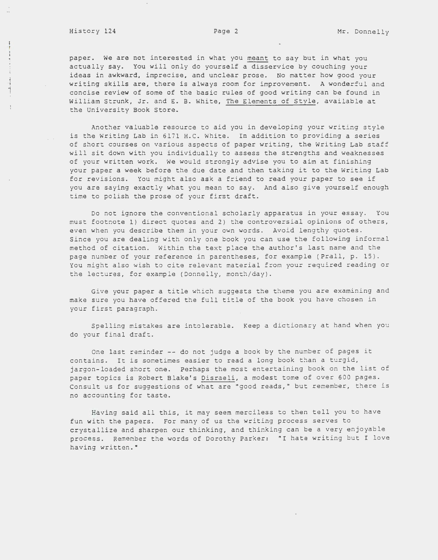## History 124 **Page 2** Mr. Donnelly

l -i  $\frac{1}{2}$ 

 $\frac{1}{4}$ 

 $\begin{array}{cccccccccc} \mathbf{1} & \mathbf{1} & \mathbf{1} & \mathbf{1} & \mathbf{1} & \mathbf{1} & \mathbf{1} & \mathbf{1} & \mathbf{1} & \mathbf{1} & \mathbf{1} & \mathbf{1} & \mathbf{1} & \mathbf{1} & \mathbf{1} & \mathbf{1} & \mathbf{1} & \mathbf{1} & \mathbf{1} & \mathbf{1} & \mathbf{1} & \mathbf{1} & \mathbf{1} & \mathbf{1} & \mathbf{1} & \mathbf{1} & \mathbf{1} & \mathbf{1} & \mathbf{1} & \mathbf{1} & \$ 

paper. We are not interested in what you meant to say but in what you actually say. You will only do yourself a disservice by couching your ideas in awkward, imprecise, and unclear prose. No matter how good your writing skills are, there is always room for improvement. A wonderful and concise review of some of the basic rules of good writing can be found in William Strunk, Jr. and E. B. White, The Elements of Style, available at the University Book Store.

Another valuable resource to aid you in developing your writing style is the Writing Lab in 6171 H.C. White. In addition to providing a series of short courses on various aspects of paper writing, the Writing Lab staff will sit down with you individually to assess the strengths and weaknesses of your written work. We would strongly advise you to aim at finishing your paper a week before the due date and then taking it to the Writing Lab for revisions. You might also ask a friend to read your paper to see if you are saying exactly what you mean to say. And also give yourself enough time to polish the prose of your first draft.

Do not ignore the conventional scholarly apparatus in your essay. You must footnote 1) direct quotes and 2) the controversial opinions of others, even when you describe them in your own words. Avoid lengthy quotes. Since you are dealing with only one book you can use the following informal method of citation. Within the text place the author's last name and the page number of your reference in parentheses, for example (Prall, p. 15). You might also wish to cite relevant material from your required reading or the lectures, for example (Donnelly, month/day).

*Give* your paper a title which suggests the theme you are examining and make sure you have offered the full title of the book you have chosen in your first paragraph.

Spelling mistakes are intolerable. Keep a dictionary at hand when you do your final draft.

One last reminder -- do not judge a book by the number of pages it contains. It is sometimes easier to read a long book than a turgid, jargon-loaded short one. Perhaps the most entertaining book on the list of paper topics is Robert Blake's Disraeli, a modest tome of over 600 pages. Consult us for suggestions of what are "good reads," but remember, there is no accounting for taste.

Having said all this, it may seem merciless to then tell you to have fun with the papers. For many of us the writing process serves to crystallize and sharpen our thinking, and thinking can be a very enjoyable process. Remember the words of Dorothy Parker: "I hate writing but I love having written."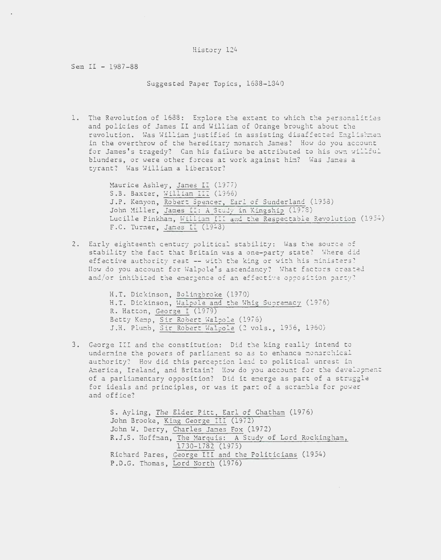Sem II - 1987-88

Suggested Paper Topics, 1688-1340

1. The Revolution of 1688: Explore the extent to which the personalities and policies of James II and William of Orange brought about the revolution. Was William justified in assisting disaffected Englishmen in the overthrow of the hereditary monarch James? How do you account for James's tragedy? Can his failure be attributed to his own willful blunders, or were other forces at work against him? Was Janes a tyrant? Was William a liberator?

> Haurice Ashley, James II (1977) S.B. Baxter, William III (1966) J.P. Kenyon, Robert Spencer, Earl of Sunderland (1958) John Miller, James II: A Study in Kingship (1978) Lucille Pinkham, William III and the Respectable Revolution (1954) F.C. Turner, James II (1948)

2. Early eighteenth century political stability: Was the source of stability the fact that Britain was a one-party state? Where did effective authority rest -- with the king or with his ministers: How do you account for Walpole's ascendancy? What factors created and/or inhibited the emergence of an effective opposition party?

> H.T. Dickinson, Bolingbroke (1970) H.T. Dickinson, Walpole and the Whig Supremacy (1976) R. Hatton, George I (1979) Betty Kemp, Sir Robert Waloole (1976) J.H. Plumb, Sir Robert Walpole (2 vols., 1956, 1960)

3. George III and the constitution: Did the king really intend to undermine the powers of parliament so as to enhance monarchical authority? How did this perception lead to political unrest in America, Ireland, and Britain? How do you account for the development of a parliamentary opposition? Did it emerge as part of a struggle for ideals and principles, or was it part of a scramble for power and office?

```
S. Ayling, The Elder Pitt, Earl of Chatham (1976) 
John Brooke, King George III (1972) 
John W. Derry, Charles James Fox (1972) 
R.J.S. Hoffman, The Marquis: A Study of Lord Rockingham, 
                1730-1782 (1975) 
Richard Pares, George III and the Politicians (1954) 
P.D.G. Thomas, Lord North (1976)
```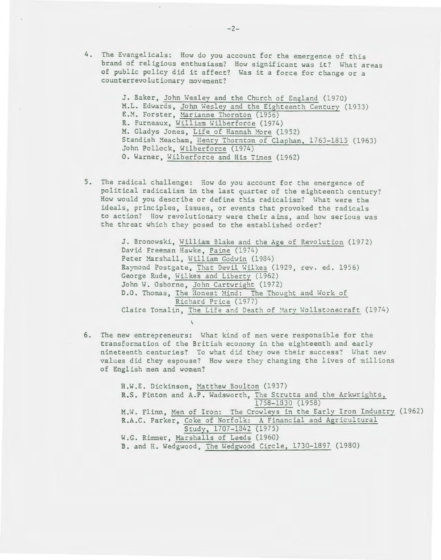4. The Evangelicals: How do you account for the emergence of this brand of religious enthusiasm? How significant was it? What areas of public policy did it affect? Was it a force for change or a counterrevolutionary movement?

> J. Baker, John Wesley and the Church of England (1970) M.L. Edwards, John Wesley and the Eighteenth Century (1933) E.M. Forster, Marianne Thornton (1956) R. Furneaux, William Wilberforce (1974) M. Gladys Jones, Life of Hannah More (1952) Standish Meacham, Henry Thornton of Clapham, 1763-1815 (1963) John Pollock, Wilberforce (1974) 0. Warner, Wilberforce and His Tines (1962)

5. The radical challenge: How do you account for the emergence of political radicalism in the last quarter of the eighteenth century? How would you describe or define this radicalism? What were the ideals, principles, issues, or events that provoked the radicals to action? How revolutionary were their aims, and how serious was the threat which they posed to the established order?

> J. Bronowski, William Blake and the Age of Revolution (1972) David Freeman Hawke, Paine (1974) Peter Marshall, William Godwin (1984) Raymond Postgate, That Devil Wilkes (1929, rev. ed. 1956) George Rude, Wilkes and Liberty (1962) John W. Osborne, John Cartwright (1972) D.O. Thomas, The Honest Mind: The Thought and Work of Richard Price (1977) Claire Tomalin, The Life and Death of Mary Wollstonecraft (1974)

6. The new entrepreneurs: What kind of men were responsible for the transformation of the British economy in the eighteenth and early nineteenth centuries? To what did they owe their success? What new values did they espouse? How were they changing the lives of millions of English men and women?

H.W.E. Dickinson, Matthew Boulton (1937) R.S. Finton and A.P. Wadsworth, The Strutts and the Arkwrights, 1758-1330 (1958) M.H. Flinn, Men of Iron: The Crowleys in the Early Iron Industry (1962) R.A.C. Parker, Coke of Norfolk: A Financial and Agricultural Study, 1707-1342 (1975) W.G. Rimmer, Marshalls of Leeds (1960) B. and H. Wedgwood, The Wedgwood Circle, 1730-1897 (1980)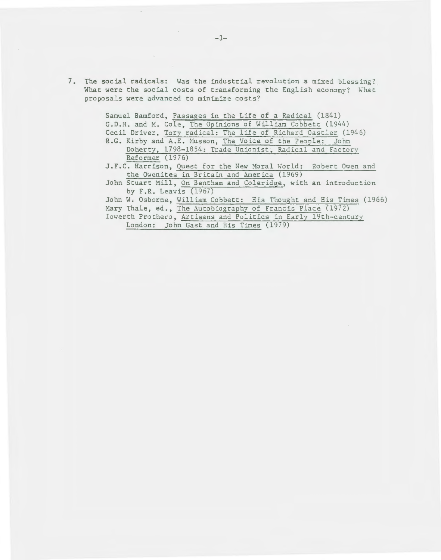7. The social radicals: Was the industrial revolution a mixed blessing? What were the social costs of transforming the English economy? What proposals were advanced to minimize costs?

> Samuel Bamford, Passages in the Life of a Radical (1841) G.D.H. and M. Cole, The Opinions of William Cobbett (1944) Cecil Driver, Tory radical: The life of Richard Oastler (1946) R.G. Kirby and A.E. Musson, The Voice of the People: John Doherty, 1798-1854: Trade Unionist, Radical and Factory Reformer (1976) J.F.C. Harrison, Quest for the New Moral World: Robert Owen and the Owenites in Britain and America (1969) John Stuart Mill, On Bentham and Coleridge, with an introduction by F.R. Leavis (1967) John W. Osborne, William Cobbett: His Thought and His Times (1966) Mary Thale, ed., The Autobiography of Francis Place (1972)

Iowerth Prothero, Artisans and Politics in Early 19th-century London: John Gast and His Times (1979)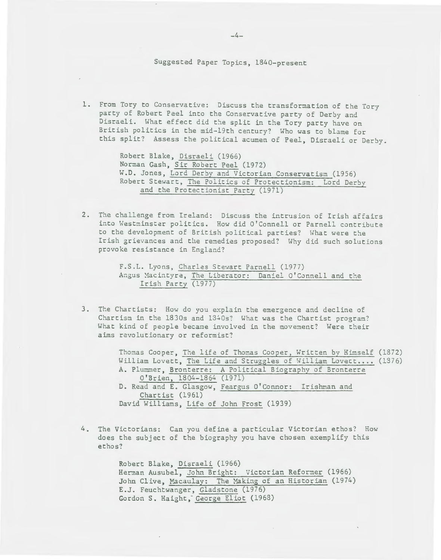# Suggested Paper Topics, 1840-present

1. From Tory to Conservative: Discuss the transformation of the Tory party of Robert Peel into the Conservative party of Derby and Disraeli. What effect did the split in the Tory party have on British politics in the mid-19th century? Who was to blame for this split? Assess the political acumen of Peel, Disraeli or Derby.

> Robert Blake, Disraeli (1966) Norman Gash, Sir Robert Peel (1972) W.D. Jones, Lord Derby and Victorian Conservatism (1956) Robert Stewart, The Politics of Protectionism: Lord Derbv and the Protectionist Party (1971)

2. The challenge from Ireland: Discuss the intrusion of Irish affairs into Westminster politics. How did O'Connell or Parnell contribute to the development of British political parties? What were the Irish grievances and the remedies proposed? Why did such solutions provoke resistance in England?

```
F.S.L. Lyons, Charles Stewart Parnell (1977) 
Angus Macintyre, The Liberator: Daniel O'Connell and the
     Irish Party (1977)
```
3. Tte Chartists: How do you explain the emergence and decline of Chartism in the 1830s and 1340s? What was the Chartist program? What kind of people became involved in the movement? Were their aims revolutionary or reformist?

> Thomas Cooper, The life of Thomas Cooper, Written by Himself (1872) William Lovett, The Life and Struggles of William Lovett.... (1376) A. Plummer, Bronterre: A Political Biography of Bronterre O'Brien, 1804-1864 (1971) D. Read and E. Glasgow, Feargus O'Connor: Irishman and Chartist (1961) David Williams, Life of John Frost (1939)

4. The Victorians: Can you define a particular Victorian ethos? How does the subject of the biography you have chosen exemplify this ethos?

> Robert Blake, Disraeli (1966) Herman Ausubel, John Bright: Victorian Reformer (1966) John Clive, Macaulay: The Making of an Historian (1974) E.J. Feuchtwanger, Gladstone (1976) Gordon S. Haight, George Eliot (1968)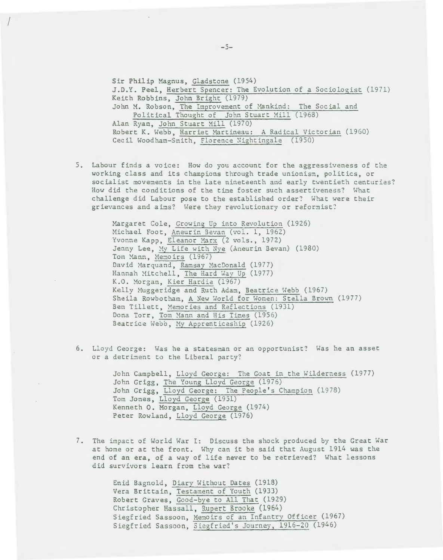Sir Philip Magnus, Gladstone (1954) J.D.Y. Peel, Herbert Spencer: The Evolution of a Sociologist (1971) Keith Robbins, John Bright (1979) John M. Robson, The Improvement of Mankind: The Social and Political Thought of John Stuart Mill (1968) Alan Ryan, John Stuart Mill (1970) Robert K. Webb, Harriet Martineau: A Radical Victorian (1960) Cecil Woodham-Smith, Florence Nightingale (1950)

5. Labour finds a voice: How do you account for the aggressiveness of the working class and its champions through trade unionism, politics, or socialist movements in the late nineteenth and early twentieth centuries? How did the conditions of the tine foster such assertiveness? What challenge did Labour pose to the established order? What were their grievances and aims? Were they revolutionary or reformist?

> Margaret Cole, Growing Up into Revolution (1926) Michael Foot, Aneurin Bevan (vol. 1, 1962) Yvonne Kapp, Eleanor Marx (2 vols., 1972) Jenny Lee, My Life with Nye (Aneurin Bevan) (1980) Tom Mann, Memoirs (1967) David Marquand, Ramsay MacDonald (1977) Hannah Mitchell, The Hard Way Up (1977) K.O. Morgan, Kier Hardie (1967) Kelly Muggeridge and Ruth Adam, Beatrice Webb (1967) Sheila Rowbotham, A New World for Women: Stella Brown (1977) Ben Tillett, Memories and Reflections (1931) Dona Torr, Tom Mann and His Times (1956) Beatrice Webb, My Apprenticeship (1926)

6. Lloyd George: Has he a statesman or an opportunist? Has he an asset or a detrinent to the Liberal party?

> John Campbell, Lloyd George: The Goat in the Wilderness (1977) John Grigg, The Young Lloyd George (1976) John Grigg, Lloyd George: The People's Champion (1978) Tom Jones, Lloyd George (1951) Kenneth 0. Morgan, Lloyd George (1974) Peter Rowland, Lloyd George (1976)

7. The impact of World War I: Discuss the shock produced by the Great War at home or at the front. Why can it be said that August 1914 was the end of an era, of a way of life never to be retrieved? What lessons did survivors learn from the war?

> Enid Bagnold, Diary Without Dates (1918) Vera Brittain, Testament of Youth (1933) Robert Graves, Good-bye to All That (1929) Christopher Hassall, Rupert Brooke (1964) Siegfried Sassoon, Memoirs of an Infantry Officer (1967) Siegfried Sassoon, Siegfried's Journey, 1916-20 (1946)

 $\overline{a}$